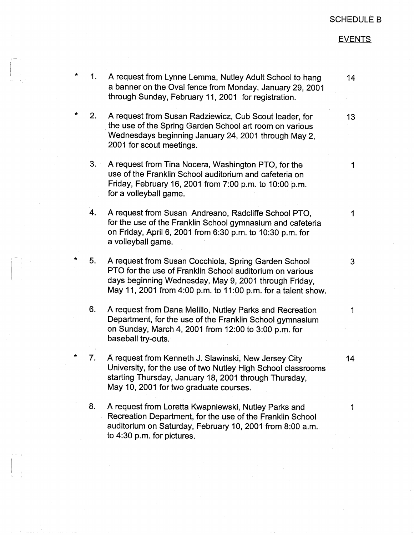## SCHEDULE B

## **EVENTS**

- \* 1. A request from Lynne Lemma, Nutley Adult School to hang a banner on the Oval fence from Monday, January 29, 2001 through Sunday, February 11, 2001 for registration.
- \* 2. A request from Susan Radziewicz, Cub Scout leader, for . the use of the Spring Garden School art room on various Wednesdays beginning January 24, 2001 through May 2, 2001 for scout meetings.
- $3.$ A request from Tina Nocera, Washington PTO, for the use of the Franklin School auditorium and cafeteria on Friday, February 16, 2001 from 7:00 p.m. to 10:00 p.m. for a volleyball game.
- 4. A request from Susan Andreano, Radcliffe School PTO, for the use of the Franklin School gymnasium and cafeteria on Friday, April 6, 2001 from 6:30 p.m. to 10:30 p.m. for a volleyball game.
- $\overline{5}$ . A request from Susan Cocchiola, Spring Garden School PTO for the use of Franklin School auditorium on various days beginning Wednesday, May 9, 2001 through Friday, May 11, 2001 from 4:00 p.m. to 11 :00 p.m. for a talent show.
	- 6. A request from Dana Melillo, Nutley Parks and Recreation Department, for the use of the Franklin School gymnasium on Sunday, March 4, 2001 from 12:00 to 3:00 p.m. for baseball try-outs.
	- \* 7. A request from Kenneth J. Slawinski, New Jersey City University, for the use of two Nutley High School classrooms starting Thursday, January 18, 2001 through Thursday, May 10, 2001 for two graduate courses.
	- 8. A request from Loretta Kwapniewski, Nutley Parks and Recreation Department, for the use of the Franklin School auditorium on Saturday, February 10, 2001 from 8:00 a.m. to 4:30 p.m. for pictures.

13

14

1

3

1

14

1

1